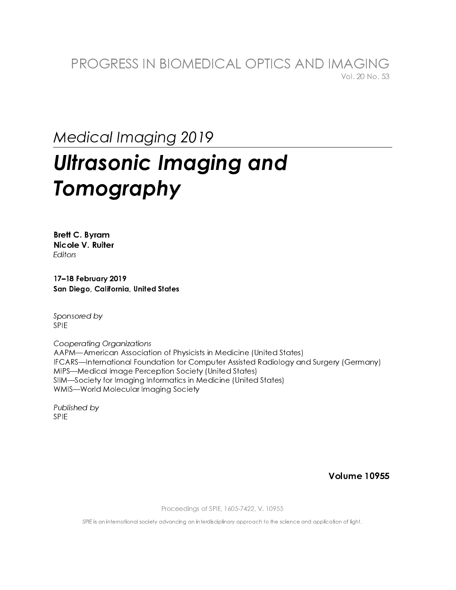### **Medical Imaging 2019**

## **Ultrasonic Imaging and** Tomography

**Brett C. Byram** Nicole V. Ruiter **Fditors** 

17-18 February 2019 San Diego, California, United States

Sponsored by **SPIF** 

**Cooperating Organizations** AAPM-American Association of Physicists in Medicine (United States) IFCARS—International Foundation for Computer Assisted Radiology and Surgery (Germany) MIPS-Medical Image Perception Society (United States) SIIM-Society for Imaging Informatics in Medicine (United States) WMIS-World Molecular Imaging Society

Published by **SPIE** 

**Volume 10955** 

Proceedings of SPIE, 1605-7422, V. 10955

SPIE is an international society advancing an interdisciplinary approach to the science and application of light.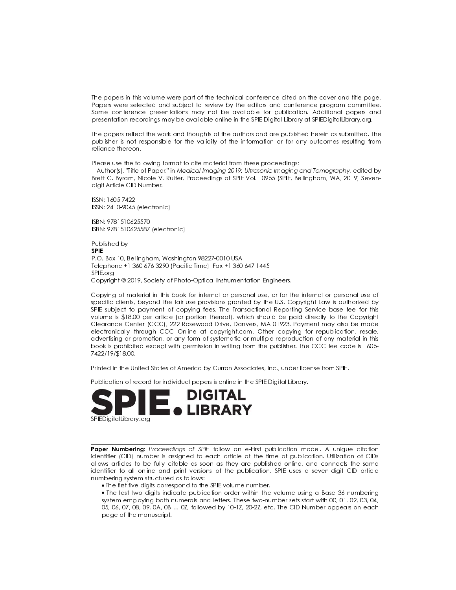The papers in this volume were part of the technical conference cited on the cover and title page. Papers were selected and subject to review by the editors and conference program committee. Some conference presentations may not be available for publication. Additional papers and presentation recordings may be available online in the SPIE Digital Library at SPIEDigitalLibrary.org.

The papers reflect the work and thoughts of the authors and are published herein as submitted. The publisher is not responsible for the validity of the information or for any outcomes resulting from reliance thereon.

Please use the following format to cite material from these proceedings:

Author(s), "Title of Paper," in Medical Imaging 2019: Ultrasonic Imaging and Tomography, edited by Brett C. Byram, Nicole V. Ruiter, Proceedings of SPIE Vol. 10955 (SPIE, Bellingham, WA, 2019) Sevendigit Article CID Number.

ISSN: 1605-7422 ISSN: 2410-9045 (electronic)

ISBN: 9781510625570 ISBN: 9781510625587 (electronic)

Published by **SPIE** P.O. Box 10, Bellingham, Washington 98227-0010 USA Telephone +1 360 676 3290 (Pacific Time) · Fax +1 360 647 1445 SPIE.org Copyright © 2019, Society of Photo-Optical Instrumentation Engineers.

Copying of material in this book for internal or personal use, or for the internal or personal use of specific clients, beyond the fair use provisions granted by the U.S. Copyright Law is authorized by SPIE subject to payment of copying fees. The Transactional Reporting Service base fee for this volume is \$18.00 per article (or portion thereof), which should be paid directly to the Copyright Clearance Center (CCC), 222 Rosewood Drive, Danvers, MA 01923. Payment may also be made electronically through CCC Online at copyright.com. Other copying for republication, resale, advertising or promotion, or any form of systematic or multiple reproduction of any material in this book is prohibited except with permission in writing from the publisher. The CCC fee code is 1605-7422/19/\$18.00.

Printed in the United States of America by Curran Associates, Inc., under license from SPIE.

Publication of record for individual papers is online in the SPIE Digital Library.



Paper Numbering: Proceedings of SPIE follow an e-First publication model. A unique citation identifier (CID) number is assigned to each article at the time of publication. Utilization of CIDs allows articles to be fully citable as soon as they are published online, and connects the same identifier to all online and print versions of the publication. SPIE uses a seven-digit CID article numbering system structured as follows:

. The first five digits correspond to the SPIE volume number.

• The last two digits indicate publication order within the volume using a Base 36 numbering system employing both numerals and letters. These two-number sets start with 00, 01, 02, 03, 04, 05, 06, 07, 08, 09, 0A, 0B ... 0Z, followed by 10-1Z, 20-2Z, etc. The CID Number appears on each page of the manuscript.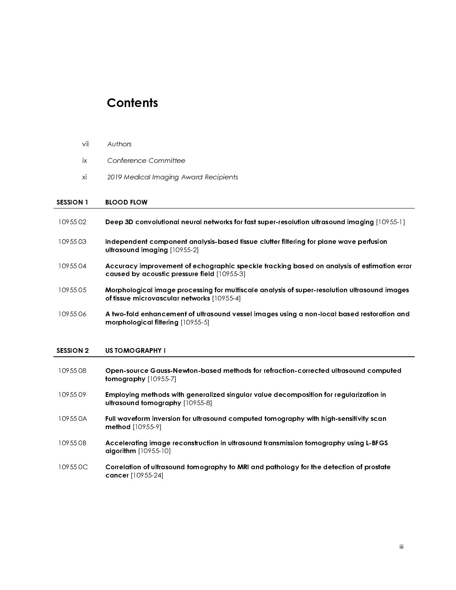#### **Contents**

- vii Authors<br>
ix Confere<br>
xi 2019 Me<br>
SESSION 1 BLOOD F<br>
10955 02 Deep 3D<br>
10955 03 Indepen<br>
ultrasour<br>
10955 04 Accurac<br>
caused l<br>
10955 05 Morphol<sub>1</sub><br>
of fissue<br>
10955 06 A two-fol<br>
morphol<sub>1</sub> ix Conference Committee<br>
xi 2019 Medical Imaging Av<br>
SESSION 1 BLOOD FLOW<br>
10955 02 Deep 3D convolutional ne<br>
10955 03 Independent component<br>
ultrasound imaging [1095<br>
10955 04 Accuracy improvement caused by acoustic press xi 2019 Medical Imaging Award Recipients<br>
SESSION 1 BLOOD FLOW<br>
10955 02 Deep 3D convolutional neural networks fo<br>
10955 03 Independent component analysis-based<br>
ultrasound imaging [10955-2]<br>
10955 04 Accuracy improvement SESSION 1 BLOOD FLOW<br>
10955 02 Deep 3D com<br>
10955 03 Independent<br>
ultrasound im<br>
10955 04 Accuracy imp<br>
caused by ac<br>
10955 05 Morphologicc<br>
of tissue micro<br>
10955 06 A two-fold en<br>
morphologica<br>
SESSION 2 US TOMOGRA<br>
1095 10955 02 Deep 3D convolutional neural networks for fast super-resolution ultrasound imaging [10955-1]<br>
10955 03 Independent component analysis-based fissue clutter filtering for plane wave perfusion<br>
10955 04 Accuracy impr
- 

## 

| 1095503          | Independent component analysis-based tissue clutter filtering for plane wave perfusion<br>ultrasound imaging [10955-2]                     |     |
|------------------|--------------------------------------------------------------------------------------------------------------------------------------------|-----|
| 1095504          | Accuracy improvement of echographic speckle tracking based on analysis of estimation error<br>caused by acoustic pressure field [10955-3]  |     |
| 1095505          | Morphological image processing for multiscale analysis of super-resolution ultrasound images<br>of tissue microvascular networks [10955-4] |     |
| 1095506          | A two-fold enhancement of ultrasound vessel images using a non-local based restoration and<br>morphological filtering [10955-5]            |     |
|                  |                                                                                                                                            |     |
| <b>SESSION 2</b> | <b>US TOMOGRAPHY I</b>                                                                                                                     |     |
| 1095508          | Open-source Gauss-Newton-based methods for refraction-corrected ultrasound computed<br>tomography [10955-7]                                |     |
| 1095509          | Employing methods with generalized singular value decomposition for regularization in<br>ultrasound tomography [10955-8]                   |     |
| 109550A          | Full waveform inversion for ultrasound computed tomography with high-sensitivity scan<br>method [10955-9]                                  |     |
| 109550B          | Accelerating image reconstruction in ultrasound transmission tomography using L-BFGS<br>algorithm [10955-10]                               |     |
| 10955 OC         | Correlation of ultrasound tomography to MRI and pathology for the detection of prostate<br>cancer [10955-24]                               |     |
|                  |                                                                                                                                            |     |
|                  |                                                                                                                                            |     |
|                  |                                                                                                                                            |     |
|                  |                                                                                                                                            | iii |
|                  |                                                                                                                                            |     |
|                  |                                                                                                                                            |     |
|                  |                                                                                                                                            |     |
|                  |                                                                                                                                            |     |
|                  |                                                                                                                                            |     |
|                  |                                                                                                                                            |     |
|                  |                                                                                                                                            |     |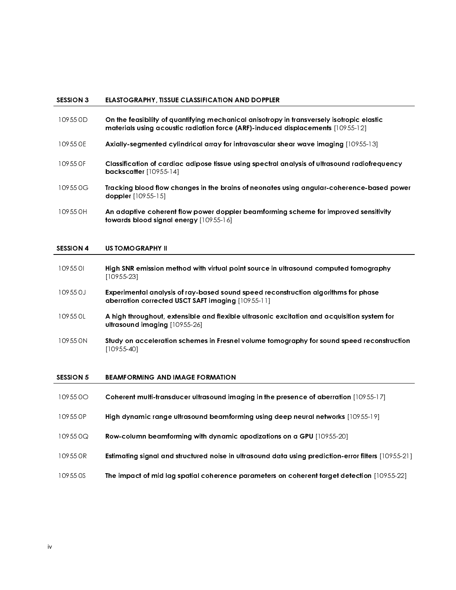#### SESSION 3 ELASTOGRAPHY, TISSUE CLASSIFICATION AND DOPPLER

- 10955 0D On the feasibility of quantifying mechanical anisotropy in transversely isotropic elastic materials using acoustic radiation force (ARF)-induced displacements [10955-12]
- 10955 0E Axially-segmented cylindrical array for intravascular shear wave imaging [10955-13]
- 10955 0F Classification of cardiac adipose tissue using spectral analysis of ultrasound radiofrequency backscatter [10955-14]
- 10955 0G Tracking blood flow changes in the brains of neonates using angular-coherence-based power doppler [10955-15]
- 10955 0H An adaptive coherent flow power doppler beamforming scheme for improved sensitivity towards blood signal energy [10955-16]

#### SESSION 4 US TOMOGRAPHY II

- 10955 0I High SNR emission method with virtual point source in ultrasound computed tomography [10955-23]
- 10955 0J Experimental analysis of ray-based sound speed reconstruction algorithms for phase aberration corrected USCT SAFT imaging [10955-11]
- 10955 0L A high throughout, extensible and flexible ultrasonic excitation and acquisition system for ultrasound imaging [10955-26]
- 10955 0N Study on acceleration schemes in Fresnel volume tomography for sound speed reconstruction [10955-40]

#### SESSION 5 BEAMFORMING AND IMAGE FORMATION

 10955 0O Coherent multi-transducer ultrasound imaging in the presence of aberration [10955-17] 10955 0P High dynamic range ultrasound beamforming using deep neural networks [10955-19] 10955 0Q Row-column beamforming with dynamic apodizations on a GPU [10955-20] 10955 0R Estimating signal and structured noise in ultrasound data using prediction-error filters [10955-21] 10955 0S The impact of mid lag spatial coherence parameters on coherent target detection [10955-22]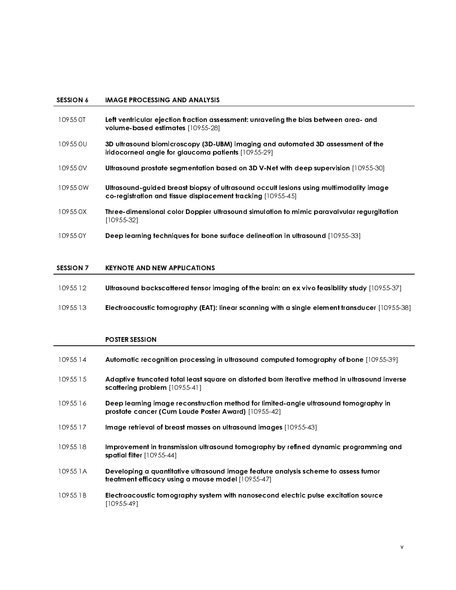- 
- 
- 
- 
- 
- 

# 

| 10955 12 | Ultrasound backscattered tensor imaging of the brain: an ex vivo feasibility study $[10955-37]$ |  |
|----------|-------------------------------------------------------------------------------------------------|--|
|----------|-------------------------------------------------------------------------------------------------|--|

#### POSTER SESSION

| <b>SESSION 6</b> | IMAGE PROCESSING AND ANALYSIS                                                                                                                         |
|------------------|-------------------------------------------------------------------------------------------------------------------------------------------------------|
| 10955 OT         | Left ventricular ejection fraction assessment: unraveling the bias between area- and<br>volume-based estimates [10955-28]                             |
| 10955 OU         | 3D ultrasound biomicroscopy (3D-UBM) imaging and automated 3D assessment of the<br>iridocorneal angle for glaucoma patients [10955-29]                |
| 10955 0V         | Ultrasound prostate segmentation based on 3D V-Net with deep supervision [10955-30]                                                                   |
| 10955 0W         | Ultrasound-guided breast biopsy of ultrasound occult lesions using multimodality image<br>co-registration and tissue displacement tracking [10955-45] |
| 10955 0X         | Three-dimensional color Doppler ultrasound simulation to mimic paravalvular regurgitation<br>$[10955 - 32]$                                           |
| 10955 0Y         | Deep learning techniques for bone surface delineation in ultrasound [10955-33]                                                                        |
| <b>SESSION 7</b> | <b>KEYNOTE AND NEW APPLICATIONS</b>                                                                                                                   |
| 10955 12         | Ultrasound backscattered tensor imaging of the brain: an ex vivo feasibility study [10955-37]                                                         |
| 10955 13         | Electroacoustic tomography (EAT): linear scanning with a single element transducer [10955-38]                                                         |
|                  | <b>POSTER SESSION</b>                                                                                                                                 |
| 10955 14         | Automatic recognition processing in ultrasound computed tomography of bone [10955-39]                                                                 |
| 10955 15         | Adaptive truncated total least square on distorted born iterative method in ultrasound inverse<br>scattering problem [10955-41]                       |
| 10955 16         | Deep learning image reconstruction method for limited-angle ultrasound tomography in<br>prostate cancer (Cum Laude Poster Award) [10955-42]           |
| 10955 17         | Image retrieval of breast masses on ultrasound images [10955-43]                                                                                      |
| 10955 18         | Improvement in transmission ultrasound tomography by refined dynamic programming and<br>spatial filter $[10955-44]$                                   |
| 10955 1A         | Developing a quantitative ultrasound image feature analysis scheme to assess tumor<br>treatment efficacy using a mouse model [10955-47]               |
| 10955 1B         | Electroacoustic tomography system with nanosecond electric pulse excitation source<br>$[10955 - 49]$                                                  |
|                  |                                                                                                                                                       |
|                  |                                                                                                                                                       |
|                  | v                                                                                                                                                     |
|                  |                                                                                                                                                       |
|                  |                                                                                                                                                       |
|                  |                                                                                                                                                       |
|                  |                                                                                                                                                       |
|                  |                                                                                                                                                       |
|                  |                                                                                                                                                       |
|                  |                                                                                                                                                       |
|                  |                                                                                                                                                       |
|                  |                                                                                                                                                       |
|                  |                                                                                                                                                       |
|                  |                                                                                                                                                       |
|                  |                                                                                                                                                       |
|                  |                                                                                                                                                       |
|                  |                                                                                                                                                       |
|                  |                                                                                                                                                       |
|                  |                                                                                                                                                       |
|                  |                                                                                                                                                       |
|                  |                                                                                                                                                       |